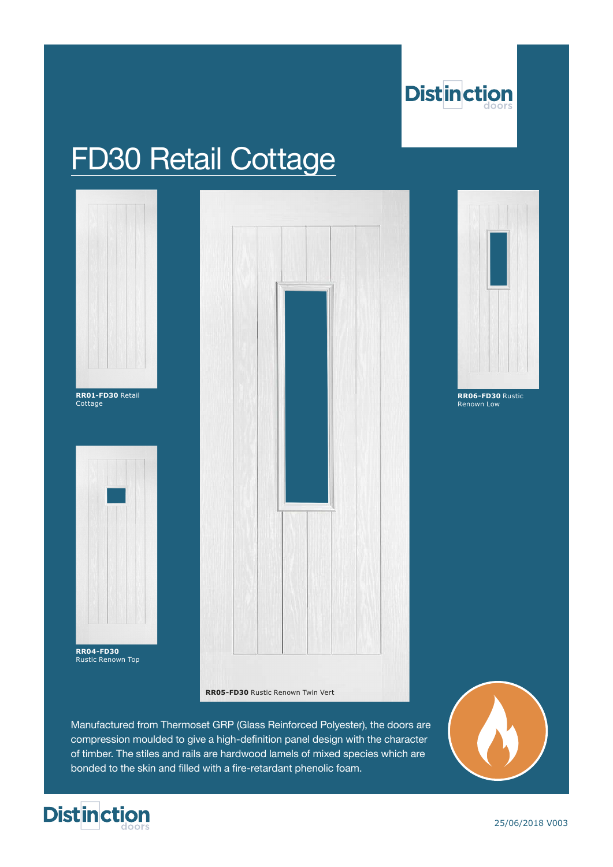

## FD30 Retail Cottage



**RR04-FD30**  Rustic Renown Top





**RR06-FD30** Rustic Renown Low

**RR05-FD30** Rustic Renown Twin Vert

Manufactured from Thermoset GRP (Glass Reinforced Polyester), the doors are compression moulded to give a high-definition panel design with the character of timber. The stiles and rails are hardwood lamels of mixed species which are bonded to the skin and filled with a fire-retardant phenolic foam.